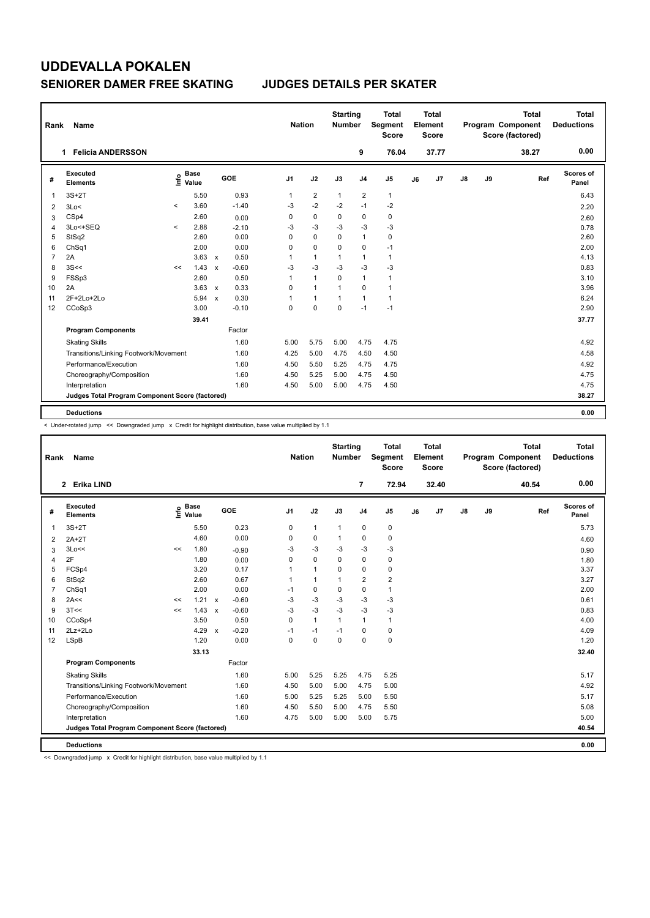| Rank           | Name                                            |          |                                  |                           |            | <b>Nation</b>  |                         | <b>Starting</b><br><b>Number</b> |                | <b>Total</b><br>Segment<br><b>Score</b> |    | Total<br>Element<br><b>Score</b> |               |    | <b>Total</b><br>Program Component<br>Score (factored) | Total<br><b>Deductions</b> |
|----------------|-------------------------------------------------|----------|----------------------------------|---------------------------|------------|----------------|-------------------------|----------------------------------|----------------|-----------------------------------------|----|----------------------------------|---------------|----|-------------------------------------------------------|----------------------------|
|                | <b>Felicia ANDERSSON</b><br>1.                  |          |                                  |                           |            |                |                         |                                  | 9              | 76.04                                   |    | 37.77                            |               |    | 38.27                                                 | 0.00                       |
| #              | Executed<br><b>Elements</b>                     |          | <b>Base</b><br>e Base<br>E Value |                           | <b>GOE</b> | J <sub>1</sub> | J2                      | J3                               | J <sub>4</sub> | J <sub>5</sub>                          | J6 | J <sub>7</sub>                   | $\mathsf{J}8$ | J9 | Ref                                                   | Scores of<br>Panel         |
| $\mathbf{1}$   | $3S+2T$                                         |          | 5.50                             |                           | 0.93       | $\mathbf{1}$   | $\overline{\mathbf{c}}$ | $\mathbf{1}$                     | $\overline{2}$ | $\mathbf{1}$                            |    |                                  |               |    |                                                       | 6.43                       |
| 2              | 3Lo<                                            | $\hat{}$ | 3.60                             |                           | $-1.40$    | $-3$           | $-2$                    | $-2$                             | $-1$           | $-2$                                    |    |                                  |               |    |                                                       | 2.20                       |
| 3              | CSp4                                            |          | 2.60                             |                           | 0.00       | 0              | $\mathbf 0$             | $\mathbf 0$                      | $\mathbf 0$    | 0                                       |    |                                  |               |    |                                                       | 2.60                       |
| $\overline{4}$ | 3Lo<+SEQ                                        | $\prec$  | 2.88                             |                           | $-2.10$    | $-3$           | $-3$                    | $-3$                             | $-3$           | $-3$                                    |    |                                  |               |    |                                                       | 0.78                       |
| 5              | StSq2                                           |          | 2.60                             |                           | 0.00       | $\Omega$       | $\Omega$                | $\Omega$                         | $\mathbf{1}$   | 0                                       |    |                                  |               |    |                                                       | 2.60                       |
| 6              | ChSq1                                           |          | 2.00                             |                           | 0.00       | $\Omega$       | 0                       | $\Omega$                         | 0              | $-1$                                    |    |                                  |               |    |                                                       | 2.00                       |
| $\overline{7}$ | 2A                                              |          | 3.63                             | $\boldsymbol{\mathsf{x}}$ | 0.50       | 1              | $\mathbf{1}$            | 1                                | $\mathbf{1}$   | 1                                       |    |                                  |               |    |                                                       | 4.13                       |
| 8              | 3S<<                                            | <<       | 1.43                             | $\mathsf{x}$              | $-0.60$    | $-3$           | $-3$                    | $-3$                             | $-3$           | $-3$                                    |    |                                  |               |    |                                                       | 0.83                       |
| 9              | FSSp3                                           |          | 2.60                             |                           | 0.50       | $\mathbf{1}$   | $\mathbf{1}$            | $\Omega$                         | $\mathbf{1}$   | 1                                       |    |                                  |               |    |                                                       | 3.10                       |
| 10             | 2A                                              |          | 3.63                             | $\mathsf{x}$              | 0.33       | $\Omega$       | $\mathbf{1}$            | $\mathbf{1}$                     | 0              | 1                                       |    |                                  |               |    |                                                       | 3.96                       |
| 11             | 2F+2Lo+2Lo                                      |          | 5.94                             | $\mathsf{x}$              | 0.30       | 1              | $\mathbf{1}$            | 1                                | $\mathbf{1}$   | $\mathbf{1}$                            |    |                                  |               |    |                                                       | 6.24                       |
| 12             | CCoSp3                                          |          | 3.00                             |                           | $-0.10$    | $\Omega$       | $\Omega$                | $\Omega$                         | $-1$           | $-1$                                    |    |                                  |               |    |                                                       | 2.90                       |
|                |                                                 |          | 39.41                            |                           |            |                |                         |                                  |                |                                         |    |                                  |               |    |                                                       | 37.77                      |
|                | <b>Program Components</b>                       |          |                                  |                           | Factor     |                |                         |                                  |                |                                         |    |                                  |               |    |                                                       |                            |
|                | <b>Skating Skills</b>                           |          |                                  |                           | 1.60       | 5.00           | 5.75                    | 5.00                             | 4.75           | 4.75                                    |    |                                  |               |    |                                                       | 4.92                       |
|                | Transitions/Linking Footwork/Movement           |          |                                  |                           | 1.60       | 4.25           | 5.00                    | 4.75                             | 4.50           | 4.50                                    |    |                                  |               |    |                                                       | 4.58                       |
|                | Performance/Execution                           |          |                                  |                           | 1.60       | 4.50           | 5.50                    | 5.25                             | 4.75           | 4.75                                    |    |                                  |               |    |                                                       | 4.92                       |
|                | Choreography/Composition                        |          |                                  |                           | 1.60       | 4.50           | 5.25                    | 5.00                             | 4.75           | 4.50                                    |    |                                  |               |    |                                                       | 4.75                       |
|                | Interpretation                                  |          |                                  |                           | 1.60       | 4.50           | 5.00                    | 5.00                             | 4.75           | 4.50                                    |    |                                  |               |    |                                                       | 4.75                       |
|                | Judges Total Program Component Score (factored) |          |                                  |                           |            |                |                         |                                  |                |                                         |    |                                  |               |    |                                                       | 38.27                      |
|                | <b>Deductions</b>                               |          |                                  |                           |            |                |                         |                                  |                |                                         |    |                                  |               |    |                                                       | 0.00                       |
|                |                                                 |          |                                  |                           |            |                |                         |                                  |                |                                         |    |                                  |               |    |                                                       |                            |

< Under-rotated jump << Downgraded jump x Credit for highlight distribution, base value multiplied by 1.1

| Rank           | Name                                            |    |                                  |              |         | <b>Nation</b>  |                | <b>Starting</b><br><b>Number</b> |                | <b>Total</b><br>Segment<br><b>Score</b> |    | <b>Total</b><br>Element<br>Score |    |    | <b>Total</b><br>Program Component<br>Score (factored) | <b>Total</b><br><b>Deductions</b> |
|----------------|-------------------------------------------------|----|----------------------------------|--------------|---------|----------------|----------------|----------------------------------|----------------|-----------------------------------------|----|----------------------------------|----|----|-------------------------------------------------------|-----------------------------------|
|                | 2 Erika LIND                                    |    |                                  |              |         |                |                |                                  | 7              | 72.94                                   |    | 32.40                            |    |    | 40.54                                                 | 0.00                              |
| #              | Executed<br><b>Elements</b>                     |    | <b>Base</b><br>e Base<br>E Value |              | GOE     | J <sub>1</sub> | J2             | J3                               | J <sub>4</sub> | J <sub>5</sub>                          | J6 | J7                               | J8 | J9 | Ref                                                   | Scores of<br>Panel                |
| 1              | $3S+2T$                                         |    | 5.50                             |              | 0.23    | 0              | $\mathbf{1}$   | $\mathbf{1}$                     | 0              | $\pmb{0}$                               |    |                                  |    |    |                                                       | 5.73                              |
| 2              | $2A+2T$                                         |    | 4.60                             |              | 0.00    | 0              | 0              | $\mathbf{1}$                     | 0              | $\mathbf 0$                             |    |                                  |    |    |                                                       | 4.60                              |
| 3              | 3Lo<<                                           | << | 1.80                             |              | $-0.90$ | $-3$           | $-3$           | -3                               | $-3$           | $-3$                                    |    |                                  |    |    |                                                       | 0.90                              |
| 4              | 2F                                              |    | 1.80                             |              | 0.00    | 0              | $\mathbf 0$    | $\Omega$                         | $\mathbf 0$    | 0                                       |    |                                  |    |    |                                                       | 1.80                              |
| 5              | FCSp4                                           |    | 3.20                             |              | 0.17    | 1              | $\mathbf{1}$   | 0                                | $\mathbf 0$    | $\pmb{0}$                               |    |                                  |    |    |                                                       | 3.37                              |
| 6              | StSq2                                           |    | 2.60                             |              | 0.67    | 1              | $\mathbf{1}$   | 1                                | $\overline{2}$ | $\overline{2}$                          |    |                                  |    |    |                                                       | 3.27                              |
| $\overline{7}$ | ChSq1                                           |    | 2.00                             |              | 0.00    | $-1$           | 0              | 0                                | $\mathbf 0$    | $\mathbf{1}$                            |    |                                  |    |    |                                                       | 2.00                              |
| 8              | 2A<<                                            | << | $1.21 \times$                    |              | $-0.60$ | $-3$           | $-3$           | $-3$                             | $-3$           | $-3$                                    |    |                                  |    |    |                                                       | 0.61                              |
| 9              | 3T<<                                            | << | 1.43                             | $\mathbf{x}$ | $-0.60$ | -3             | $-3$           | $-3$                             | $-3$           | $-3$                                    |    |                                  |    |    |                                                       | 0.83                              |
| 10             | CCoSp4                                          |    | 3.50                             |              | 0.50    | 0              | $\overline{1}$ | $\mathbf{1}$                     | $\mathbf{1}$   | $\mathbf{1}$                            |    |                                  |    |    |                                                       | 4.00                              |
| 11             | $2Lz+2Lo$                                       |    | 4.29                             | $\mathsf{x}$ | $-0.20$ | -1             | $-1$           | $-1$                             | $\mathbf 0$    | $\pmb{0}$                               |    |                                  |    |    |                                                       | 4.09                              |
| 12             | <b>LSpB</b>                                     |    | 1.20                             |              | 0.00    | 0              | $\mathbf 0$    | $\Omega$                         | $\mathbf 0$    | $\mathbf 0$                             |    |                                  |    |    |                                                       | 1.20                              |
|                |                                                 |    | 33.13                            |              |         |                |                |                                  |                |                                         |    |                                  |    |    |                                                       | 32.40                             |
|                | <b>Program Components</b>                       |    |                                  |              | Factor  |                |                |                                  |                |                                         |    |                                  |    |    |                                                       |                                   |
|                | <b>Skating Skills</b>                           |    |                                  |              | 1.60    | 5.00           | 5.25           | 5.25                             | 4.75           | 5.25                                    |    |                                  |    |    |                                                       | 5.17                              |
|                | Transitions/Linking Footwork/Movement           |    |                                  |              | 1.60    | 4.50           | 5.00           | 5.00                             | 4.75           | 5.00                                    |    |                                  |    |    |                                                       | 4.92                              |
|                | Performance/Execution                           |    |                                  |              | 1.60    | 5.00           | 5.25           | 5.25                             | 5.00           | 5.50                                    |    |                                  |    |    |                                                       | 5.17                              |
|                | Choreography/Composition                        |    |                                  |              | 1.60    | 4.50           | 5.50           | 5.00                             | 4.75           | 5.50                                    |    |                                  |    |    |                                                       | 5.08                              |
|                | Interpretation                                  |    |                                  |              | 1.60    | 4.75           | 5.00           | 5.00                             | 5.00           | 5.75                                    |    |                                  |    |    |                                                       | 5.00                              |
|                | Judges Total Program Component Score (factored) |    |                                  |              |         |                |                |                                  |                |                                         |    |                                  |    |    |                                                       | 40.54                             |
|                | <b>Deductions</b>                               |    |                                  |              |         |                |                |                                  |                |                                         |    |                                  |    |    |                                                       | 0.00                              |

<< Downgraded jump x Credit for highlight distribution, base value multiplied by 1.1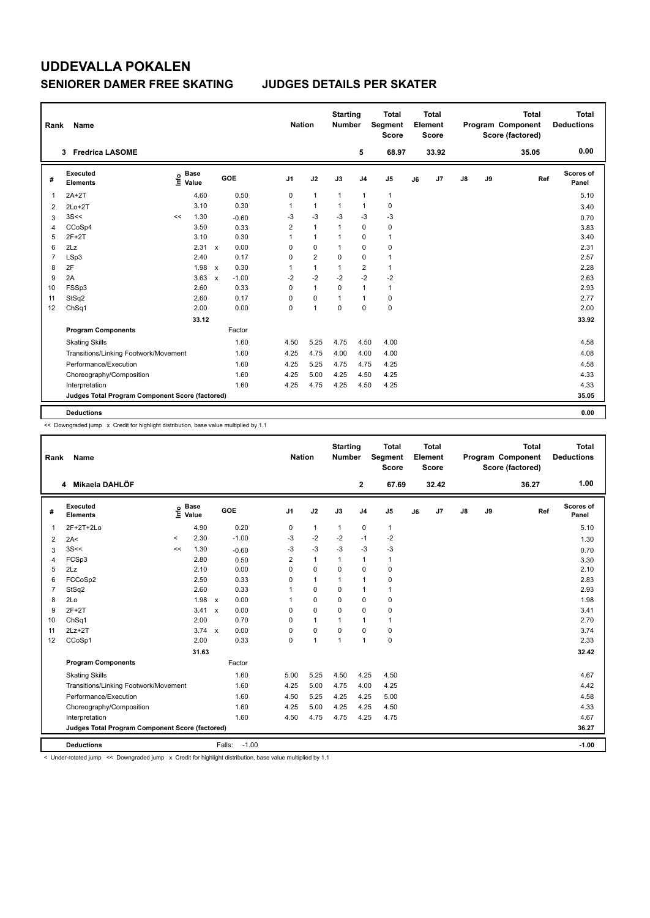| Rank | Name                                            |      |                      |              |         |                | <b>Nation</b>        | <b>Starting</b><br><b>Number</b> |                         | <b>Total</b><br>Segment<br><b>Score</b> |    | Total<br>Element<br><b>Score</b> |    |    | <b>Total</b><br>Program Component<br>Score (factored) | Total<br><b>Deductions</b> |
|------|-------------------------------------------------|------|----------------------|--------------|---------|----------------|----------------------|----------------------------------|-------------------------|-----------------------------------------|----|----------------------------------|----|----|-------------------------------------------------------|----------------------------|
|      | <b>Fredrica LASOME</b><br>3                     |      |                      |              |         |                |                      |                                  | 5                       | 68.97                                   |    | 33.92                            |    |    | 35.05                                                 | 0.00                       |
| #    | <b>Executed</b><br><b>Elements</b>              | Info | <b>Base</b><br>Value |              | GOE     | J <sub>1</sub> | J2                   | J3                               | J <sub>4</sub>          | J <sub>5</sub>                          | J6 | J7                               | J8 | J9 | Ref                                                   | Scores of<br>Panel         |
| 1    | $2A+2T$                                         |      | 4.60                 |              | 0.50    | 0              | $\mathbf{1}$         | $\mathbf{1}$                     | 1                       | $\mathbf{1}$                            |    |                                  |    |    |                                                       | 5.10                       |
| 2    | $2Lo+2T$                                        |      | 3.10                 |              | 0.30    | $\mathbf{1}$   | $\mathbf{1}$         | $\mathbf{1}$                     | $\mathbf{1}$            | $\mathbf 0$                             |    |                                  |    |    |                                                       | 3.40                       |
| 3    | 3S<<                                            | <<   | 1.30                 |              | $-0.60$ | -3             | $-3$                 | $-3$                             | $-3$                    | $-3$                                    |    |                                  |    |    |                                                       | 0.70                       |
| 4    | CCoSp4                                          |      | 3.50                 |              | 0.33    | $\overline{2}$ | $\mathbf{1}$         | $\mathbf{1}$                     | $\Omega$                | $\mathbf 0$                             |    |                                  |    |    |                                                       | 3.83                       |
| 5    | $2F+2T$                                         |      | 3.10                 |              | 0.30    | $\mathbf{1}$   | $\mathbf{1}$         | 1                                | 0                       | $\mathbf{1}$                            |    |                                  |    |    |                                                       | 3.40                       |
| 6    | 2Lz                                             |      | 2.31                 | $\mathsf{x}$ | 0.00    | 0              | $\mathbf 0$          | $\mathbf{1}$                     | 0                       | 0                                       |    |                                  |    |    |                                                       | 2.31                       |
| 7    | LSp3                                            |      | 2.40                 |              | 0.17    | 0              | $\overline{2}$       | $\Omega$                         | $\Omega$                | $\mathbf{1}$                            |    |                                  |    |    |                                                       | 2.57                       |
| 8    | 2F                                              |      | 1.98                 | $\mathsf{x}$ | 0.30    | $\mathbf{1}$   | $\mathbf{1}$         | $\mathbf{1}$                     | $\overline{\mathbf{c}}$ | $\mathbf{1}$                            |    |                                  |    |    |                                                       | 2.28                       |
| 9    | 2A                                              |      | 3.63                 | $\mathsf{x}$ | $-1.00$ | $-2$           | $-2$                 | $-2$                             | $-2$                    | $-2$                                    |    |                                  |    |    |                                                       | 2.63                       |
| 10   | FSSp3                                           |      | 2.60                 |              | 0.33    | 0              | $\mathbf{1}$         | $\mathbf 0$                      | $\mathbf{1}$            | $\mathbf{1}$                            |    |                                  |    |    |                                                       | 2.93                       |
| 11   | StSq2                                           |      | 2.60                 |              | 0.17    | 0              | $\mathbf 0$          | $\mathbf{1}$                     | 1                       | 0                                       |    |                                  |    |    |                                                       | 2.77                       |
| 12   | ChSq1                                           |      | 2.00                 |              | 0.00    | $\Omega$       | $\blacktriangleleft$ | $\Omega$                         | $\Omega$                | $\mathbf 0$                             |    |                                  |    |    |                                                       | 2.00                       |
|      |                                                 |      | 33.12                |              |         |                |                      |                                  |                         |                                         |    |                                  |    |    |                                                       | 33.92                      |
|      | <b>Program Components</b>                       |      |                      |              | Factor  |                |                      |                                  |                         |                                         |    |                                  |    |    |                                                       |                            |
|      | <b>Skating Skills</b>                           |      |                      |              | 1.60    | 4.50           | 5.25                 | 4.75                             | 4.50                    | 4.00                                    |    |                                  |    |    |                                                       | 4.58                       |
|      | Transitions/Linking Footwork/Movement           |      |                      |              | 1.60    | 4.25           | 4.75                 | 4.00                             | 4.00                    | 4.00                                    |    |                                  |    |    |                                                       | 4.08                       |
|      | Performance/Execution                           |      |                      |              | 1.60    | 4.25           | 5.25                 | 4.75                             | 4.75                    | 4.25                                    |    |                                  |    |    |                                                       | 4.58                       |
|      | Choreography/Composition                        |      |                      |              | 1.60    | 4.25           | 5.00                 | 4.25                             | 4.50                    | 4.25                                    |    |                                  |    |    |                                                       | 4.33                       |
|      | Interpretation                                  |      |                      |              | 1.60    | 4.25           | 4.75                 | 4.25                             | 4.50                    | 4.25                                    |    |                                  |    |    |                                                       | 4.33                       |
|      | Judges Total Program Component Score (factored) |      |                      |              |         |                |                      |                                  |                         |                                         |    |                                  |    |    |                                                       | 35.05                      |
|      |                                                 |      |                      |              |         |                |                      |                                  |                         |                                         |    |                                  |    |    |                                                       |                            |
|      | <b>Deductions</b>                               |      |                      |              |         |                |                      |                                  |                         |                                         |    |                                  |    |    |                                                       | 0.00                       |

<< Downgraded jump x Credit for highlight distribution, base value multiplied by 1.1

| Rank           | Name                                            |          |                                 |         |                | <b>Nation</b> |              | <b>Starting</b><br>Number |                | <b>Total</b><br>Segment<br><b>Score</b> |    | <b>Total</b><br>Element<br><b>Score</b> |    |    | <b>Total</b><br>Program Component<br>Score (factored) | <b>Total</b><br><b>Deductions</b> |
|----------------|-------------------------------------------------|----------|---------------------------------|---------|----------------|---------------|--------------|---------------------------|----------------|-----------------------------------------|----|-----------------------------------------|----|----|-------------------------------------------------------|-----------------------------------|
|                | 4 Mikaela DAHLÖF                                |          |                                 |         |                |               |              |                           | $\mathbf{2}$   | 67.69                                   |    | 32.42                                   |    |    | 36.27                                                 | 1.00                              |
| #              | Executed<br><b>Elements</b>                     |          | <b>Base</b><br>Base<br>Value کے | GOE     | J <sub>1</sub> |               | J2           | J3                        | J <sub>4</sub> | J5                                      | J6 | J7                                      | J8 | J9 | Ref                                                   | Scores of<br>Panel                |
| 1              | 2F+2T+2Lo                                       |          | 4.90                            | 0.20    | 0              |               | $\mathbf{1}$ | $\mathbf{1}$              | 0              | $\mathbf{1}$                            |    |                                         |    |    |                                                       | 5.10                              |
| 2              | 2A<                                             | $\hat{}$ | 2.30                            | $-1.00$ | $-3$           |               | $-2$         | $-2$                      | $-1$           | $-2$                                    |    |                                         |    |    |                                                       | 1.30                              |
| 3              | 3S<<                                            | <<       | 1.30                            | $-0.60$ | $-3$           |               | $-3$         | -3                        | $-3$           | $-3$                                    |    |                                         |    |    |                                                       | 0.70                              |
| 4              | FCSp3                                           |          | 2.80                            | 0.50    | 2              |               | $\mathbf{1}$ | $\mathbf{1}$              | $\mathbf{1}$   | $\mathbf{1}$                            |    |                                         |    |    |                                                       | 3.30                              |
| 5              | 2Lz                                             |          | 2.10                            | 0.00    | 0              |               | $\mathbf 0$  | $\Omega$                  | $\mathbf 0$    | 0                                       |    |                                         |    |    |                                                       | 2.10                              |
| 6              | FCCoSp2                                         |          | 2.50                            | 0.33    | 0              |               | $\mathbf{1}$ | $\mathbf{1}$              | $\mathbf{1}$   | 0                                       |    |                                         |    |    |                                                       | 2.83                              |
| $\overline{7}$ | StSq2                                           |          | 2.60                            | 0.33    |                |               | $\mathbf 0$  | $\Omega$                  | $\mathbf{1}$   | $\mathbf{1}$                            |    |                                         |    |    |                                                       | 2.93                              |
| 8              | 2Lo                                             |          | 1.98 x                          | 0.00    |                |               | $\mathbf 0$  | 0                         | $\mathbf 0$    | 0                                       |    |                                         |    |    |                                                       | 1.98                              |
| 9              | $2F+2T$                                         |          | $3.41 \times$                   | 0.00    | 0              |               | $\mathbf 0$  | $\Omega$                  | $\mathbf 0$    | 0                                       |    |                                         |    |    |                                                       | 3.41                              |
| 10             | ChSq1                                           |          | 2.00                            | 0.70    | 0              |               | $\mathbf{1}$ | $\mathbf{1}$              | $\mathbf{1}$   | $\mathbf{1}$                            |    |                                         |    |    |                                                       | 2.70                              |
| 11             | $2Lz+2T$                                        |          | $3.74 \times$                   | 0.00    | 0              |               | $\mathbf 0$  | $\Omega$                  | $\mathbf 0$    | 0                                       |    |                                         |    |    |                                                       | 3.74                              |
| 12             | CCoSp1                                          |          | 2.00                            | 0.33    | $\Omega$       |               | $\mathbf{1}$ | $\mathbf{1}$              | $\mathbf{1}$   | 0                                       |    |                                         |    |    |                                                       | 2.33                              |
|                |                                                 |          | 31.63                           |         |                |               |              |                           |                |                                         |    |                                         |    |    |                                                       | 32.42                             |
|                | <b>Program Components</b>                       |          |                                 | Factor  |                |               |              |                           |                |                                         |    |                                         |    |    |                                                       |                                   |
|                | <b>Skating Skills</b>                           |          |                                 | 1.60    | 5.00           |               | 5.25         | 4.50                      | 4.25           | 4.50                                    |    |                                         |    |    |                                                       | 4.67                              |
|                | Transitions/Linking Footwork/Movement           |          |                                 | 1.60    | 4.25           |               | 5.00         | 4.75                      | 4.00           | 4.25                                    |    |                                         |    |    |                                                       | 4.42                              |
|                | Performance/Execution                           |          |                                 | 1.60    | 4.50           |               | 5.25         | 4.25                      | 4.25           | 5.00                                    |    |                                         |    |    |                                                       | 4.58                              |
|                | Choreography/Composition                        |          |                                 | 1.60    | 4.25           |               | 5.00         | 4.25                      | 4.25           | 4.50                                    |    |                                         |    |    |                                                       | 4.33                              |
|                | Interpretation                                  |          |                                 | 1.60    | 4.50           |               | 4.75         | 4.75                      | 4.25           | 4.75                                    |    |                                         |    |    |                                                       | 4.67                              |
|                | Judges Total Program Component Score (factored) |          |                                 |         |                |               |              |                           |                |                                         |    |                                         |    |    |                                                       | 36.27                             |
|                | <b>Deductions</b>                               |          |                                 | Falls:  | $-1.00$        |               |              |                           |                |                                         |    |                                         |    |    |                                                       | $-1.00$                           |

< Under-rotated jump << Downgraded jump x Credit for highlight distribution, base value multiplied by 1.1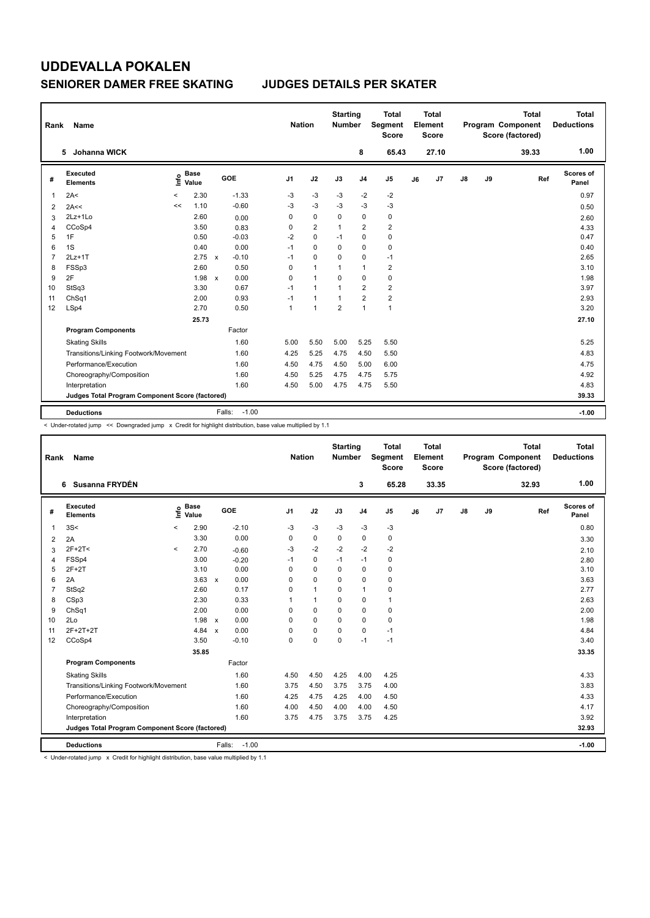| Rank           | Name                                            |                                  | <b>Nation</b> |                         | <b>Starting</b><br><b>Number</b> |                | <b>Total</b><br>Segment<br><b>Score</b> |                         | Total<br>Element<br><b>Score</b> |    |       | <b>Total</b><br>Program Component<br>Score (factored) | Total<br><b>Deductions</b> |       |                           |
|----------------|-------------------------------------------------|----------------------------------|---------------|-------------------------|----------------------------------|----------------|-----------------------------------------|-------------------------|----------------------------------|----|-------|-------------------------------------------------------|----------------------------|-------|---------------------------|
|                | <b>Johanna WICK</b><br>5.                       |                                  |               |                         |                                  |                |                                         | 8                       | 65.43                            |    | 27.10 |                                                       |                            | 39.33 | 1.00                      |
| #              | Executed<br><b>Elements</b>                     | <b>Base</b><br>١nf٥<br>Value     |               | GOE                     | J <sub>1</sub>                   | J2             | J3                                      | J <sub>4</sub>          | J5                               | J6 | J7    | $\mathsf{J}8$                                         | J9                         | Ref   | <b>Scores of</b><br>Panel |
| 1              | 2A<                                             | 2.30<br>$\overline{\phantom{0}}$ |               | $-1.33$                 | $-3$                             | $-3$           | $-3$                                    | $-2$                    | $-2$                             |    |       |                                                       |                            |       | 0.97                      |
| $\overline{2}$ | 2A<<                                            | 1.10<br><<                       |               | $-0.60$                 | $-3$                             | $-3$           | $-3$                                    | $-3$                    | $-3$                             |    |       |                                                       |                            |       | 0.50                      |
| 3              | $2Lz+1Lo$                                       | 2.60                             |               | 0.00                    | 0                                | $\mathbf 0$    | $\mathbf 0$                             | $\mathbf 0$             | $\pmb{0}$                        |    |       |                                                       |                            |       | 2.60                      |
| 4              | CCoSp4                                          | 3.50                             |               | 0.83                    | 0                                | $\overline{2}$ | $\mathbf{1}$                            | $\overline{2}$          | $\overline{2}$                   |    |       |                                                       |                            |       | 4.33                      |
| 5              | 1F                                              | 0.50                             |               | $-0.03$                 | $-2$                             | $\mathbf 0$    | $-1$                                    | $\pmb{0}$               | $\pmb{0}$                        |    |       |                                                       |                            |       | 0.47                      |
| 6              | 1S                                              | 0.40                             |               | 0.00                    | $-1$                             | $\mathbf 0$    | $\mathbf 0$                             | $\mathbf 0$             | $\mathbf 0$                      |    |       |                                                       |                            |       | 0.40                      |
| $\overline{7}$ | $2Lz+1T$                                        | 2.75                             |               | $-0.10$<br>$\mathsf{x}$ | $-1$                             | 0              | $\Omega$                                | 0                       | $-1$                             |    |       |                                                       |                            |       | 2.65                      |
| 8              | FSSp3                                           | 2.60                             |               | 0.50                    | 0                                | $\mathbf{1}$   | 1                                       | $\mathbf 1$             | $\overline{2}$                   |    |       |                                                       |                            |       | 3.10                      |
| 9              | 2F                                              | 1.98                             |               | 0.00<br>$\mathsf{x}$    | 0                                | $\mathbf{1}$   | $\Omega$                                | $\mathbf 0$             | $\mathbf 0$                      |    |       |                                                       |                            |       | 1.98                      |
| 10             | StSq3                                           | 3.30                             |               | 0.67                    | $-1$                             | $\mathbf{1}$   | 1                                       | $\overline{\mathbf{c}}$ | $\overline{2}$                   |    |       |                                                       |                            |       | 3.97                      |
| 11             | ChSq1                                           | 2.00                             |               | 0.93                    | $-1$                             | $\mathbf{1}$   | 1                                       | $\overline{2}$          | $\overline{2}$                   |    |       |                                                       |                            |       | 2.93                      |
| 12             | LSp4                                            | 2.70                             |               | 0.50                    | 1                                | $\mathbf{1}$   | 2                                       | $\overline{1}$          | $\mathbf{1}$                     |    |       |                                                       |                            |       | 3.20                      |
|                |                                                 | 25.73                            |               |                         |                                  |                |                                         |                         |                                  |    |       |                                                       |                            |       | 27.10                     |
|                | <b>Program Components</b>                       |                                  |               | Factor                  |                                  |                |                                         |                         |                                  |    |       |                                                       |                            |       |                           |
|                | <b>Skating Skills</b>                           |                                  |               | 1.60                    | 5.00                             | 5.50           | 5.00                                    | 5.25                    | 5.50                             |    |       |                                                       |                            |       | 5.25                      |
|                | Transitions/Linking Footwork/Movement           |                                  |               | 1.60                    | 4.25                             | 5.25           | 4.75                                    | 4.50                    | 5.50                             |    |       |                                                       |                            |       | 4.83                      |
|                | Performance/Execution                           |                                  |               | 1.60                    | 4.50                             | 4.75           | 4.50                                    | 5.00                    | 6.00                             |    |       |                                                       |                            |       | 4.75                      |
|                | Choreography/Composition                        |                                  |               | 1.60                    | 4.50                             | 5.25           | 4.75                                    | 4.75                    | 5.75                             |    |       |                                                       |                            |       | 4.92                      |
|                | Interpretation                                  |                                  |               | 1.60                    | 4.50                             | 5.00           | 4.75                                    | 4.75                    | 5.50                             |    |       |                                                       |                            |       | 4.83                      |
|                | Judges Total Program Component Score (factored) |                                  |               |                         |                                  |                |                                         |                         |                                  |    |       |                                                       |                            |       | 39.33                     |
|                | <b>Deductions</b>                               |                                  |               | $-1.00$<br>Falls:       |                                  |                |                                         |                         |                                  |    |       |                                                       |                            |       | $-1.00$                   |

< Under-rotated jump << Downgraded jump x Credit for highlight distribution, base value multiplied by 1.1

| Rank           | Name                                            |         |                      |              |                   | <b>Nation</b>  |              | <b>Starting</b><br>Number |                | <b>Total</b><br>Segment<br><b>Score</b> |    | Total<br>Element<br><b>Score</b> |    |    | <b>Total</b><br>Program Component<br>Score (factored) | <b>Total</b><br><b>Deductions</b> |
|----------------|-------------------------------------------------|---------|----------------------|--------------|-------------------|----------------|--------------|---------------------------|----------------|-----------------------------------------|----|----------------------------------|----|----|-------------------------------------------------------|-----------------------------------|
|                | Susanna FRYDÉN<br>6                             |         |                      |              |                   |                |              |                           | 3              | 65.28                                   |    | 33.35                            |    |    | 32.93                                                 | 1.00                              |
| #              | Executed<br><b>Elements</b>                     | lnfo    | <b>Base</b><br>Value |              | GOE               | J <sub>1</sub> | J2           | J3                        | J <sub>4</sub> | J <sub>5</sub>                          | J6 | J7                               | J8 | J9 | Ref                                                   | Scores of<br>Panel                |
| $\mathbf{1}$   | 3S<                                             | $\prec$ | 2.90                 |              | $-2.10$           | -3             | $-3$         | $-3$                      | $-3$           | -3                                      |    |                                  |    |    |                                                       | 0.80                              |
| 2              | 2A                                              |         | 3.30                 |              | 0.00              | 0              | 0            | 0                         | 0              | 0                                       |    |                                  |    |    |                                                       | 3.30                              |
| 3              | $2F+2T<$                                        | $\prec$ | 2.70                 |              | $-0.60$           | $-3$           | $-2$         | $-2$                      | $-2$           | $-2$                                    |    |                                  |    |    |                                                       | 2.10                              |
| 4              | FSSp4                                           |         | 3.00                 |              | $-0.20$           | $-1$           | $\mathbf 0$  | $-1$                      | $-1$           | $\mathbf 0$                             |    |                                  |    |    |                                                       | 2.80                              |
| 5              | $2F+2T$                                         |         | 3.10                 |              | 0.00              | 0              | $\mathbf 0$  | $\Omega$                  | $\mathbf 0$    | $\mathbf 0$                             |    |                                  |    |    |                                                       | 3.10                              |
| 6              | 2A                                              |         | 3.63                 | $\mathsf{x}$ | 0.00              | 0              | $\mathbf 0$  | $\mathbf 0$               | $\mathbf 0$    | $\pmb{0}$                               |    |                                  |    |    |                                                       | 3.63                              |
| $\overline{7}$ | StSq2                                           |         | 2.60                 |              | 0.17              | 0              | $\mathbf{1}$ | $\Omega$                  | $\mathbf{1}$   | $\mathbf 0$                             |    |                                  |    |    |                                                       | 2.77                              |
| 8              | CSp3                                            |         | 2.30                 |              | 0.33              | 1              | $\mathbf{1}$ | $\Omega$                  | $\mathbf 0$    | $\mathbf{1}$                            |    |                                  |    |    |                                                       | 2.63                              |
| 9              | ChSq1                                           |         | 2.00                 |              | 0.00              | 0              | 0            | 0                         | $\mathbf 0$    | $\mathbf 0$                             |    |                                  |    |    |                                                       | 2.00                              |
| 10             | 2Lo                                             |         | 1.98                 | $\mathsf{x}$ | 0.00              | 0              | $\mathbf 0$  | $\Omega$                  | $\mathbf 0$    | $\mathbf 0$                             |    |                                  |    |    |                                                       | 1.98                              |
| 11             | 2F+2T+2T                                        |         | 4.84 x               |              | 0.00              | 0              | $\mathbf 0$  | $\mathbf 0$               | $\mathbf 0$    | $-1$                                    |    |                                  |    |    |                                                       | 4.84                              |
| 12             | CCoSp4                                          |         | 3.50                 |              | $-0.10$           | 0              | $\mathbf 0$  | $\Omega$                  | $-1$           | $-1$                                    |    |                                  |    |    |                                                       | 3.40                              |
|                |                                                 |         | 35.85                |              |                   |                |              |                           |                |                                         |    |                                  |    |    |                                                       | 33.35                             |
|                | <b>Program Components</b>                       |         |                      |              | Factor            |                |              |                           |                |                                         |    |                                  |    |    |                                                       |                                   |
|                | <b>Skating Skills</b>                           |         |                      |              | 1.60              | 4.50           | 4.50         | 4.25                      | 4.00           | 4.25                                    |    |                                  |    |    |                                                       | 4.33                              |
|                | Transitions/Linking Footwork/Movement           |         |                      |              | 1.60              | 3.75           | 4.50         | 3.75                      | 3.75           | 4.00                                    |    |                                  |    |    |                                                       | 3.83                              |
|                | Performance/Execution                           |         |                      |              | 1.60              | 4.25           | 4.75         | 4.25                      | 4.00           | 4.50                                    |    |                                  |    |    |                                                       | 4.33                              |
|                | Choreography/Composition                        |         |                      |              | 1.60              | 4.00           | 4.50         | 4.00                      | 4.00           | 4.50                                    |    |                                  |    |    |                                                       | 4.17                              |
|                | Interpretation                                  |         |                      |              | 1.60              | 3.75           | 4.75         | 3.75                      | 3.75           | 4.25                                    |    |                                  |    |    |                                                       | 3.92                              |
|                | Judges Total Program Component Score (factored) |         |                      |              |                   |                |              |                           |                |                                         |    |                                  |    |    |                                                       | 32.93                             |
|                | <b>Deductions</b>                               |         |                      |              | $-1.00$<br>Falls: |                |              |                           |                |                                         |    |                                  |    |    |                                                       | $-1.00$                           |

< Under-rotated jump x Credit for highlight distribution, base value multiplied by 1.1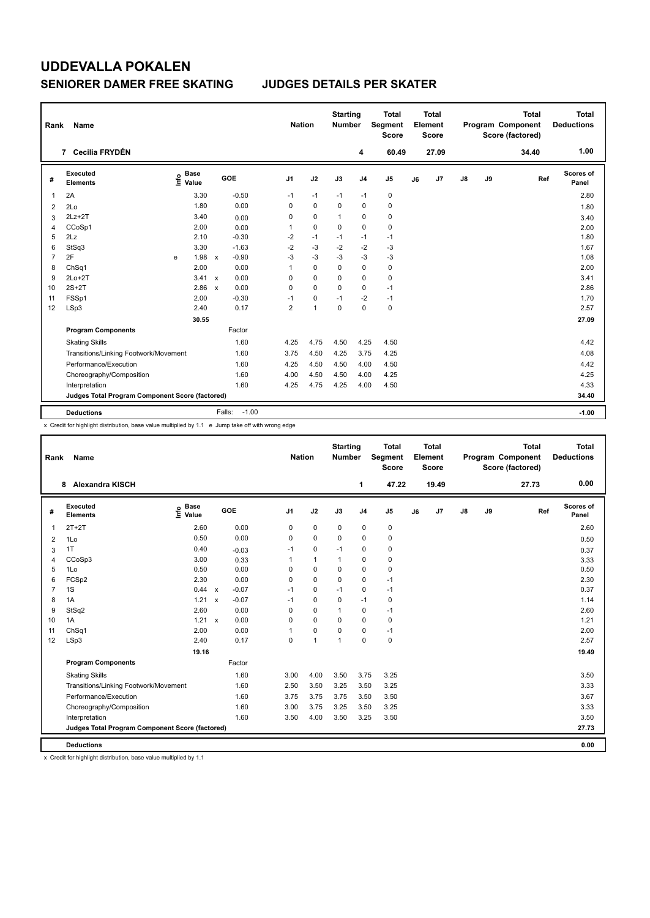| Rank           | Name                                            |   |                                  | <b>Nation</b> |                   | <b>Starting</b><br><b>Number</b> | <b>Total</b><br>Segment<br><b>Score</b> |              | <b>Total</b><br>Element<br><b>Score</b> |             |    | <b>Total</b><br>Program Component<br>Score (factored) | <b>Total</b><br><b>Deductions</b> |    |       |                    |
|----------------|-------------------------------------------------|---|----------------------------------|---------------|-------------------|----------------------------------|-----------------------------------------|--------------|-----------------------------------------|-------------|----|-------------------------------------------------------|-----------------------------------|----|-------|--------------------|
|                | 7 Cecilia FRYDÉN                                |   |                                  |               |                   |                                  |                                         |              | 4                                       | 60.49       |    | 27.09                                                 |                                   |    | 34.40 | 1.00               |
| #              | <b>Executed</b><br><b>Elements</b>              |   | <b>Base</b><br>e Base<br>⊆ Value |               | GOE               | J <sub>1</sub>                   | J2                                      | J3           | J <sub>4</sub>                          | J5          | J6 | J7                                                    | $\mathsf{J}8$                     | J9 | Ref   | Scores of<br>Panel |
| 1              | 2A                                              |   | 3.30                             |               | $-0.50$           | $-1$                             | $-1$                                    | $-1$         | $-1$                                    | 0           |    |                                                       |                                   |    |       | 2.80               |
| 2              | 2Lo                                             |   | 1.80                             |               | 0.00              | 0                                | $\mathbf 0$                             | 0            | $\mathbf 0$                             | $\mathbf 0$ |    |                                                       |                                   |    |       | 1.80               |
| 3              | $2Lz + 2T$                                      |   | 3.40                             |               | 0.00              | 0                                | $\mathbf 0$                             | $\mathbf{1}$ | $\mathbf 0$                             | $\pmb{0}$   |    |                                                       |                                   |    |       | 3.40               |
| 4              | CCoSp1                                          |   | 2.00                             |               | 0.00              | 1                                | $\mathbf 0$                             | $\Omega$     | $\Omega$                                | $\pmb{0}$   |    |                                                       |                                   |    |       | 2.00               |
| 5              | 2Lz                                             |   | 2.10                             |               | $-0.30$           | $-2$                             | $-1$                                    | $-1$         | $-1$                                    | $-1$        |    |                                                       |                                   |    |       | 1.80               |
| 6              | StSq3                                           |   | 3.30                             |               | $-1.63$           | $-2$                             | $-3$                                    | $-2$         | $-2$                                    | -3          |    |                                                       |                                   |    |       | 1.67               |
| $\overline{7}$ | 2F                                              | e | 1.98                             | $\mathsf{x}$  | $-0.90$           | $-3$                             | $-3$                                    | $-3$         | $-3$                                    | $-3$        |    |                                                       |                                   |    |       | 1.08               |
| 8              | ChSq1                                           |   | 2.00                             |               | 0.00              | 1                                | $\mathbf 0$                             | 0            | $\mathbf 0$                             | $\pmb{0}$   |    |                                                       |                                   |    |       | 2.00               |
| 9              | $2Lo+2T$                                        |   | 3.41                             | $\mathsf{x}$  | 0.00              | 0                                | $\Omega$                                | $\Omega$     | $\Omega$                                | $\pmb{0}$   |    |                                                       |                                   |    |       | 3.41               |
| 10             | $2S+2T$                                         |   | 2.86                             | $\mathbf x$   | 0.00              | 0                                | $\Omega$                                | $\Omega$     | $\mathbf 0$                             | $-1$        |    |                                                       |                                   |    |       | 2.86               |
| 11             | FSSp1                                           |   | 2.00                             |               | $-0.30$           | $-1$                             | 0                                       | $-1$         | $-2$                                    | $-1$        |    |                                                       |                                   |    |       | 1.70               |
| 12             | LSp3                                            |   | 2.40                             |               | 0.17              | $\overline{2}$                   | $\mathbf{1}$                            | $\Omega$     | $\Omega$                                | 0           |    |                                                       |                                   |    |       | 2.57               |
|                |                                                 |   | 30.55                            |               |                   |                                  |                                         |              |                                         |             |    |                                                       |                                   |    |       | 27.09              |
|                | <b>Program Components</b>                       |   |                                  |               | Factor            |                                  |                                         |              |                                         |             |    |                                                       |                                   |    |       |                    |
|                | <b>Skating Skills</b>                           |   |                                  |               | 1.60              | 4.25                             | 4.75                                    | 4.50         | 4.25                                    | 4.50        |    |                                                       |                                   |    |       | 4.42               |
|                | Transitions/Linking Footwork/Movement           |   |                                  |               | 1.60              | 3.75                             | 4.50                                    | 4.25         | 3.75                                    | 4.25        |    |                                                       |                                   |    |       | 4.08               |
|                | Performance/Execution                           |   |                                  |               | 1.60              | 4.25                             | 4.50                                    | 4.50         | 4.00                                    | 4.50        |    |                                                       |                                   |    |       | 4.42               |
|                | Choreography/Composition                        |   |                                  |               | 1.60              | 4.00                             | 4.50                                    | 4.50         | 4.00                                    | 4.25        |    |                                                       |                                   |    |       | 4.25               |
|                | Interpretation                                  |   |                                  |               | 1.60              | 4.25                             | 4.75                                    | 4.25         | 4.00                                    | 4.50        |    |                                                       |                                   |    |       | 4.33               |
|                | Judges Total Program Component Score (factored) |   |                                  |               |                   |                                  |                                         |              |                                         |             |    |                                                       |                                   |    |       | 34.40              |
|                | <b>Deductions</b>                               |   |                                  |               | $-1.00$<br>Falls: |                                  |                                         |              |                                         |             |    |                                                       |                                   |    |       | $-1.00$            |

x Credit for highlight distribution, base value multiplied by 1.1 e Jump take off with wrong edge

| Rank           | Name                                            |                                  |                           |         |                | <b>Nation</b> |              | <b>Starting</b><br><b>Number</b> |                | <b>Total</b><br>Segment<br><b>Score</b> |    | <b>Total</b><br>Element<br><b>Score</b> |    |    | <b>Total</b><br>Program Component<br>Score (factored) | <b>Total</b><br><b>Deductions</b> |
|----------------|-------------------------------------------------|----------------------------------|---------------------------|---------|----------------|---------------|--------------|----------------------------------|----------------|-----------------------------------------|----|-----------------------------------------|----|----|-------------------------------------------------------|-----------------------------------|
|                | <b>Alexandra KISCH</b><br>8                     |                                  |                           |         |                |               |              |                                  | 1              | 47.22                                   |    | 19.49                                   |    |    | 27.73                                                 | 0.00                              |
| #              | Executed<br><b>Elements</b>                     | <b>Base</b><br>e Base<br>⊆ Value |                           | GOE     | J <sub>1</sub> |               | J2           | J3                               | J <sub>4</sub> | J <sub>5</sub>                          | J6 | J7                                      | J8 | J9 | Ref                                                   | Scores of<br>Panel                |
| 1              | $2T+2T$                                         | 2.60                             |                           | 0.00    | 0              |               | $\mathbf 0$  | $\mathbf 0$                      | $\mathbf 0$    | $\mathbf 0$                             |    |                                         |    |    |                                                       | 2.60                              |
| $\overline{2}$ | 1Lo                                             | 0.50                             |                           | 0.00    | 0              |               | $\mathbf 0$  | 0                                | 0              | $\mathbf 0$                             |    |                                         |    |    |                                                       | 0.50                              |
| 3              | 1T                                              | 0.40                             |                           | $-0.03$ | $-1$           |               | 0            | $-1$                             | 0              | 0                                       |    |                                         |    |    |                                                       | 0.37                              |
| $\overline{4}$ | CCoSp3                                          | 3.00                             |                           | 0.33    | 1              |               | $\mathbf{1}$ | $\mathbf{1}$                     | $\Omega$       | $\mathbf 0$                             |    |                                         |    |    |                                                       | 3.33                              |
| 5              | 1Lo                                             | 0.50                             |                           | 0.00    | 0              |               | $\mathbf 0$  | $\Omega$                         | 0              | $\pmb{0}$                               |    |                                         |    |    |                                                       | 0.50                              |
| 6              | FCSp2                                           | 2.30                             |                           | 0.00    | 0              |               | 0            | 0                                | 0              | $-1$                                    |    |                                         |    |    |                                                       | 2.30                              |
| $\overline{7}$ | 1S                                              | 0.44                             | $\mathsf{x}$              | $-0.07$ | $-1$           |               | 0            | $-1$                             | 0              | $-1$                                    |    |                                         |    |    |                                                       | 0.37                              |
| 8              | 1A                                              | 1.21                             | $\boldsymbol{\mathsf{x}}$ | $-0.07$ | $-1$           |               | 0            | $\mathbf 0$                      | $-1$           | 0                                       |    |                                         |    |    |                                                       | 1.14                              |
| 9              | StSq2                                           | 2.60                             |                           | 0.00    | 0              |               | 0            | $\mathbf{1}$                     | $\mathbf 0$    | $-1$                                    |    |                                         |    |    |                                                       | 2.60                              |
| 10             | 1A                                              | 1.21                             | $\mathbf{x}$              | 0.00    | 0              |               | 0            | $\Omega$                         | 0              | $\mathbf 0$                             |    |                                         |    |    |                                                       | 1.21                              |
| 11             | ChSq1                                           | 2.00                             |                           | 0.00    | 1              |               | 0            | 0                                | 0              | $-1$                                    |    |                                         |    |    |                                                       | 2.00                              |
| 12             | LSp3                                            | 2.40                             |                           | 0.17    | 0              |               | 1            | $\mathbf{1}$                     | $\Omega$       | $\mathbf 0$                             |    |                                         |    |    |                                                       | 2.57                              |
|                |                                                 | 19.16                            |                           |         |                |               |              |                                  |                |                                         |    |                                         |    |    |                                                       | 19.49                             |
|                | <b>Program Components</b>                       |                                  |                           | Factor  |                |               |              |                                  |                |                                         |    |                                         |    |    |                                                       |                                   |
|                | <b>Skating Skills</b>                           |                                  |                           | 1.60    | 3.00           |               | 4.00         | 3.50                             | 3.75           | 3.25                                    |    |                                         |    |    |                                                       | 3.50                              |
|                | Transitions/Linking Footwork/Movement           |                                  |                           | 1.60    | 2.50           |               | 3.50         | 3.25                             | 3.50           | 3.25                                    |    |                                         |    |    |                                                       | 3.33                              |
|                | Performance/Execution                           |                                  |                           | 1.60    | 3.75           |               | 3.75         | 3.75                             | 3.50           | 3.50                                    |    |                                         |    |    |                                                       | 3.67                              |
|                | Choreography/Composition                        |                                  |                           | 1.60    | 3.00           |               | 3.75         | 3.25                             | 3.50           | 3.25                                    |    |                                         |    |    |                                                       | 3.33                              |
|                | Interpretation                                  |                                  |                           | 1.60    | 3.50           |               | 4.00         | 3.50                             | 3.25           | 3.50                                    |    |                                         |    |    |                                                       | 3.50                              |
|                | Judges Total Program Component Score (factored) |                                  |                           |         |                |               |              |                                  |                |                                         |    |                                         |    |    |                                                       | 27.73                             |
|                | <b>Deductions</b>                               |                                  |                           |         |                |               |              |                                  |                |                                         |    |                                         |    |    |                                                       | 0.00                              |

x Credit for highlight distribution, base value multiplied by 1.1